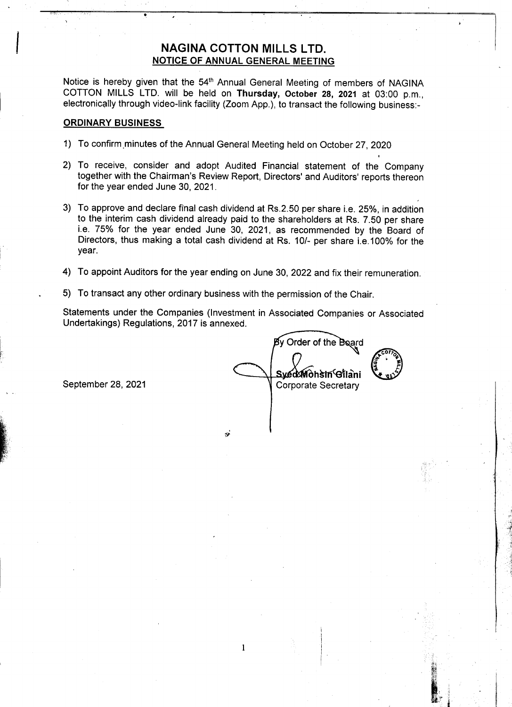## **NAGINA COTTON MILLS LTD.** NOTICE OF ANNUAL GENERAL MEETING

,

Notice is hereby given that the 54<sup>th</sup> Annual General Meeting of members of NAGINA COTTON MILLS LTD. will be held on Thursday, October 28, 2021 at 03:00 p.m., electronically through video-link facility (Zoom App.), to transact the following business:-

## **ORDINARY BUSINESS**

- 1) To confirm.minutes of the Annual General Meeting held on October 27,2020
- 2) To receive, consider and adopt Audited Financial statement of the Company together with the Chairman's Review Report, Directors' and Auditors' reports thereon for the year ended June 30, 2021.
- 3) To approve and declare final cash dividend at Rs.2.50 per share i.e. 25%, in addition to the interim cash dividend already paid to the shareholders at Rs. 7.50 per share i.e. 75% for the year ended June 30, 2021, as recommended by the Board of Directors, thus making a total cash dividend at Rs. 10/- per share i.e.100% for the year.
- 4) To appoint Auditors for the year ending on June 30, 2022 and fix their remuneration.
- .5) To transact any other ordinary business with the permission of the Chair.

fJ'

1

Statements under the Companies (Investment in Associated Companies or Associated Undertakings) Regulations, 2017 is annexed.

**COTION** y Order of the Board .Syéd⁄Mohsin<sup>c</sup>Gilani September 28, 2021 Corporate Secretary

,

š

 $\mathcal{X} \subset \mathcal{X}$ " ..  $\mathbf{z}$  ;

 $\frac{1}{2}$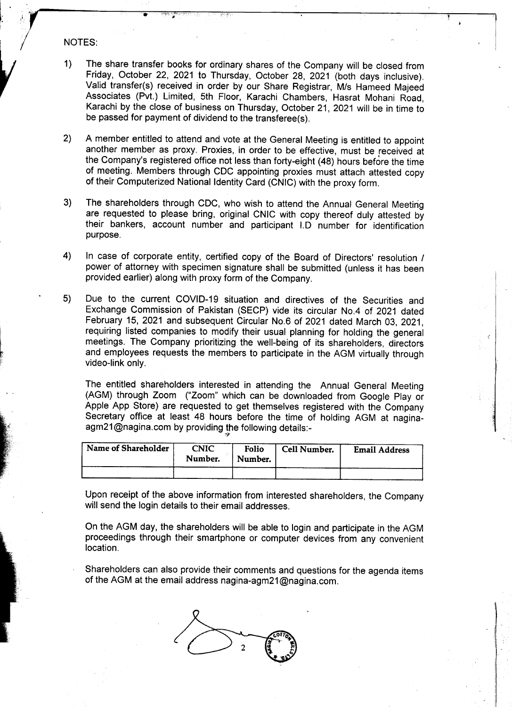## NOTES:

 $\mathbf{I}_{\mathbf{r}}$ 

1) The share transfer books for ordinary shares of the Company will be closed from Friday, October 22, 2021 to Thursday, October 28, 2021 (both days inclusive). Valid transfer(s) received in order by our Share Registrar, Mis Hameed Majeed Associates (Pvt.) Limited, 5th Floor, Karachi Chambers, Hasrat Mohani Road, Karachi by the close of business on Thursday, October 21, 2021 will be in time to be passed for payment of dividend to the transferee(s).

 $\frac{1}{2}$  ,  $\frac{1}{2}$  ,  $\frac{1}{2}$  ,  $\frac{1}{2}$  ,  $\frac{1}{2}$  ,  $\frac{1}{2}$  ,  $\frac{1}{2}$  ,  $\frac{1}{2}$  ,  $\frac{1}{2}$  ,  $\frac{1}{2}$  ,  $\frac{1}{2}$  ,  $\frac{1}{2}$  ,  $\frac{1}{2}$  ,  $\frac{1}{2}$  ,  $\frac{1}{2}$  ,  $\frac{1}{2}$  ,  $\frac{1}{2}$  ,  $\frac{1}{2}$  ,  $\frac{1$ 

- 2) A member entitled to attend and vote at the General Meeting is entitled to appoint another member as proxy. Proxies, in order to be effective, must be received at the Company's registered office not less than forty-eight (48) hours before the time of meeting. Members through CDC appointing proxies must attach attested copy of their Computerized National Identity Card (CNIC) with the proxy form.
- 3) The shareholders through CDC, who wish to attend the Annual General Meeting are requested to please bring, original CNIC with copy thereof duly attested by their bankers, account number and participant I.D number for identification purpose.
- 4) In case of corporate entity, certified copy of the Board of Directors' resolution / power of attorney with specimen signature shall be submitted (unless it has been provided earlier) along with proxy form of the Company.
- .5) Due to the current COVID-19 situation and directives of the Securities and Exchange Commission of Pakistan (SECP) vide its circular No.4 of 2021 dated Due to the current COVID-19 situation and directives of the Securities and<br>Exchange Commission of Pakistan (SECP) vide its circular No.4 of 2021 dated<br>February 15, 2021 and subsequent Circular No.6 of 2021 dated March 03, requiring listed companies to modify their usual planning for holding the general meetings. The Company prioritizing the well-being of its shareholders, directors and employees requests the members to participate in the AGM virtually through video-link only.

The entitled shareholders interested in attending the Annual General Meeting (AGM) through Zoom ("Zoom" which can be downloaded from Google Play or Apple App Store) are requested to get themselves registered with the Company Secretary office at least 48 hours before the time of holding AGM at naginaagm21@nagina.com by providing the following details:

| Name of Shareholder | CNIC<br>Number. | Folio<br>Number. | Cell Number. | <b>Email Address</b> |
|---------------------|-----------------|------------------|--------------|----------------------|
|                     |                 |                  |              |                      |

Upon receipt of the above information from interested shareholders, the Company will send the login details to their email addresses.

On the AGM day, the shareholders will be able to login and participate in the AGM proceedings through their smartphone or computer devices from any convenient location.

Shareholders can also provide their comments and questions for the agenda items of the AGM at the email address nagina-agm21@nagina.com.

; i

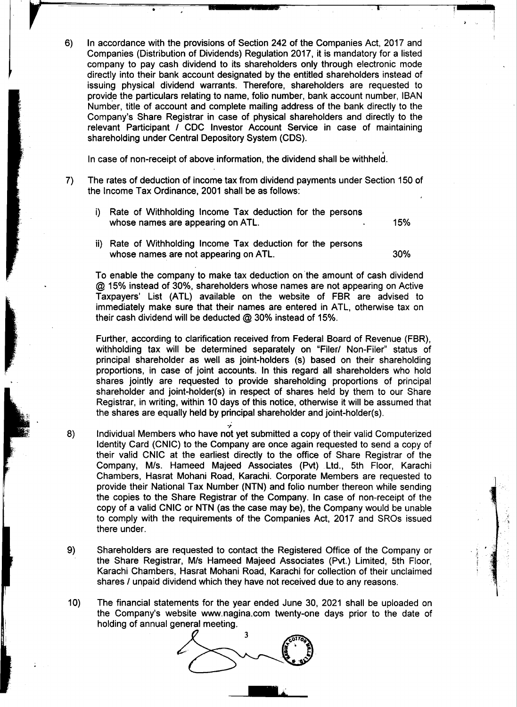$6)$ In accordance with the provisions of Section 242 of the Companies Act, 2017 and Companies (Distribution of Dividends) Regulation 2017, it is mandatory for a listed company to pay cash dividend to its shareholders only through electronic mode directly into their bank account designated by the entitled shareholders instead of issuing physical dividend warrants. Therefore, shareholders are requested to provide the particulars relating to name, folio number, bank account number, IBAN Number, title of account and complete mailing address of the bank directly to the Company's Share Registrar in case of physical shareholders and directly to the relevant Participant / CDC Investor Account Service in case of maintaining shareholding under Central Depository System (CDS).

In case of non-receipt of above information, the dividend shall be withheld. In case of non-receipt of above information, the dividend shall be withheld.

shareholding under Central Depository System (CDS).

- 7) The rates of deduction of income tax from dividend payments under Section 150 of  $\mathcal{L}_\mathrm{max}$  Tax  $\mathcal{L}_\mathrm{max}$  or  $\mathcal{L}_\mathrm{max}$  shall be as follows:
	- i) Rate of Withholding Income Tax deduction for the persons whose names are appearing on ATL. 15% where  $\mathcal{L}_{\mathcal{A}}$  is a transformation on  $\mathcal{L}_{\mathcal{A}}$  that is a transformation on  $\mathcal{A}_{\mathcal{A}}$
	- ii) Rate of Withholding Income Tax deduction for the persons whose names are not appearing on ATL. 30% where  $\mathcal{L}_{\mathcal{A}}$  is a transformation on  $\mathcal{A}$  TL. 30% and A TL. 30% are not appearing on  $\mathcal{A}$

To enable the company to make tax deduction on the amount of cash dividend  $@$  15% instead of 30%, shareholders whose names are not appearing on Active Taxpayers' List (ATL) available on the website of FBR are advised to immediately make sure that their names are entered in ATL, otherwise tax on their cash dividend will be deducted  $@30\%$  instead of 15%. their cash dividend will be deducted @ 30% instead of 15%.

Further, according to clarification received from Federal Board of Revenue (FBR). withholding tax will be determined separately on "Filer/ Non-Filer" status of principal shareholder as well as joint-holders (s) based on their shareholding proportions, in case of joint accounts. In this regard all shareholders who hold shares jointly are requested to provide shareholding proportions of principal shareholder and joint-holder(s) in respect of shares held by them to our Share Registrar, in writing, within 10 days of this notice, otherwise it will be assumed that the shares are equally held by principal shareholder and joint-holder(s). the shares are equally held by principal shareholder and joint-holder(s).

- Individual Members who have not vet submitted a copy of their valid Computerized  $8)$ Identity Card (CNIC) to the Company are once again requested to send a copy of their valid CNIC at the earliest directly to the office of Share Registrar of the Company, M/s. Hameed Majeed Associates (Pvt) Ltd., 5th Floor, Karachi Chambers, Hasrat Mohani Road, Karachi. Corporate Members are requested to provide their National Tax Number (NTN) and folio number thereon while sending the copies to the Share Registrar of the Company. In case of non-receipt of the copy of a valid CNIC or NTN (as the case may be), the Company would be unable to comply with the requirements of the Companies Act, 2017 and SROs issued there under.
- 9) Shareholders are requested to contact the Registered Office of the Company or the Share Registrar, M/s Hameed Majeed Associates (Pvt.) Limited, 5th Floor, Karachi Chambers, Hasrat Mohani Road, Karachi for collection of their unclaimed shares / unpaid dividend which they have not received due to any reasons. shares I unpaid dividend which they have not received due to any reasons. I
- $10)$ The financial statements for the year ended June 30, 2021 shall be uploaded on the Company's website www.nagina.com twenty-one days prior to the date of holding of annual general meeting.



11111111..:

!<br>!

.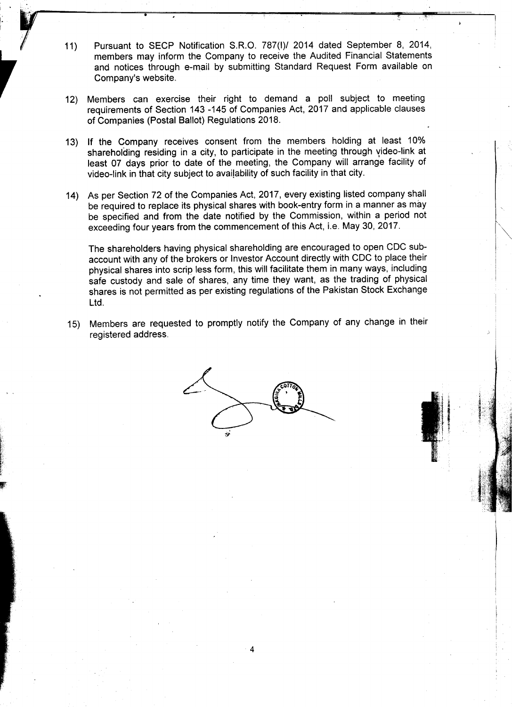11) Pursuant to SECP Notification S.R.O. 787(I)/ 2014 dated September 8, 2014, members may inform the Company to receive the Audited Financial Statements and notices through e-mail by submitting Standard Request Form available on Company's website.

I.' I

" --

r .

.

~  $\epsilon$  $^{\circ}$ ~ P

- 12) Members can exercise their right to demand a poll subject to meeting requirements of Section 143 -145 of Companies Act, 2017 and applicable clauses of Companies (Postal Ballot) Regulations 2018.
- 13) If the Company receives consent from the members holding at least 10% shareholding residing in a city, to participate in the meeting through video-link at least 07 days prior to date of the meeting, the Company will arrange facility of video-link in that city subject to availability of such facility in that city.
- 14) As per Section 72 of the Companies Act, 2017, every existing listed company shall be required to replace its physical shares with book-entry form in a manner as may be specified and from the date notified by the Commission, within a period not exceeding four years from the commencement of this Act, i.e. May 30, 2017.

The shareholders having physical shareholding are encouraged to open COC subaccount with any of the brokers or Investor Account directly with COC to place their physical shares into scrip less form, this will facilitate them in many ways, including safe custody and sale of shares, any time they want, as the trading of physical .shares is not permitted as per existing regulations of the Pakistan Stock Exchange Ltd.

15) Members are requested to promptly notify the Company of any change in their registered address.



.